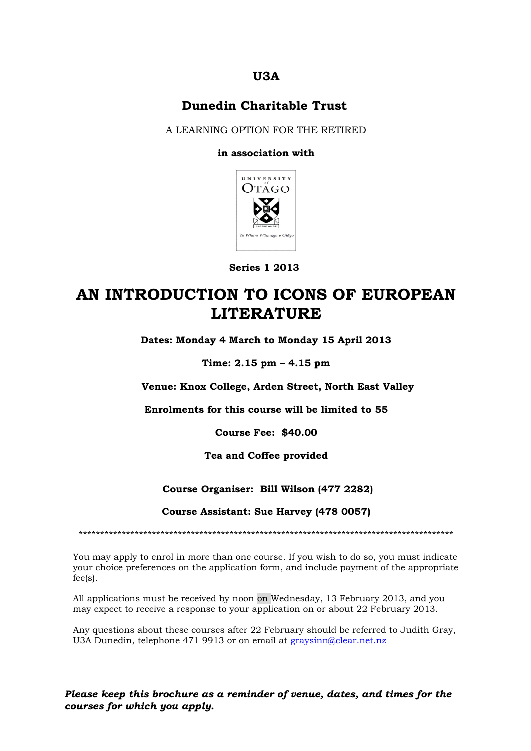#### **U3A**

#### **Dunedin Charitable Trust**

A LEARNING OPTION FOR THE RETIRED

#### **in association with**



 **Series 1 2013**

# **AN INTRODUCTION TO ICONS OF EUROPEAN LITERATURE**

**Dates: Monday 4 March to Monday 15 April 2013**

**Time: 2.15 pm – 4.15 pm**

**Venue: Knox College, Arden Street, North East Valley**

**Enrolments for this course will be limited to 55**

**Course Fee: \$40.00**

#### **Tea and Coffee provided**

#### **Course Organiser: Bill Wilson (477 2282)**

#### **Course Assistant: Sue Harvey (478 0057)**

\*\*\*\*\*\*\*\*\*\*\*\*\*\*\*\*\*\*\*\*\*\*\*\*\*\*\*\*\*\*\*\*\*\*\*\*\*\*\*\*\*\*\*\*\*\*\*\*\*\*\*\*\*\*\*\*\*\*\*\*\*\*\*\*\*\*\*\*\*\*\*\*\*\*\*\*\*\*\*\*\*\*\*\*\*\*\*

You may apply to enrol in more than one course. If you wish to do so, you must indicate your choice preferences on the application form, and include payment of the appropriate fee(s).

All applications must be received by noon on Wednesday, 13 February 2013, and you may expect to receive a response to your application on or about 22 February 2013.

Any questions about these courses after 22 February should be referred to Judith Gray, U3A Dunedin, telephone 471 9913 or on email at [graysinn@clear.net.nz](mailto:graysinn@clear.net.nz)

*Please keep this brochure as a reminder of venue, dates, and times for the courses for which you apply.*